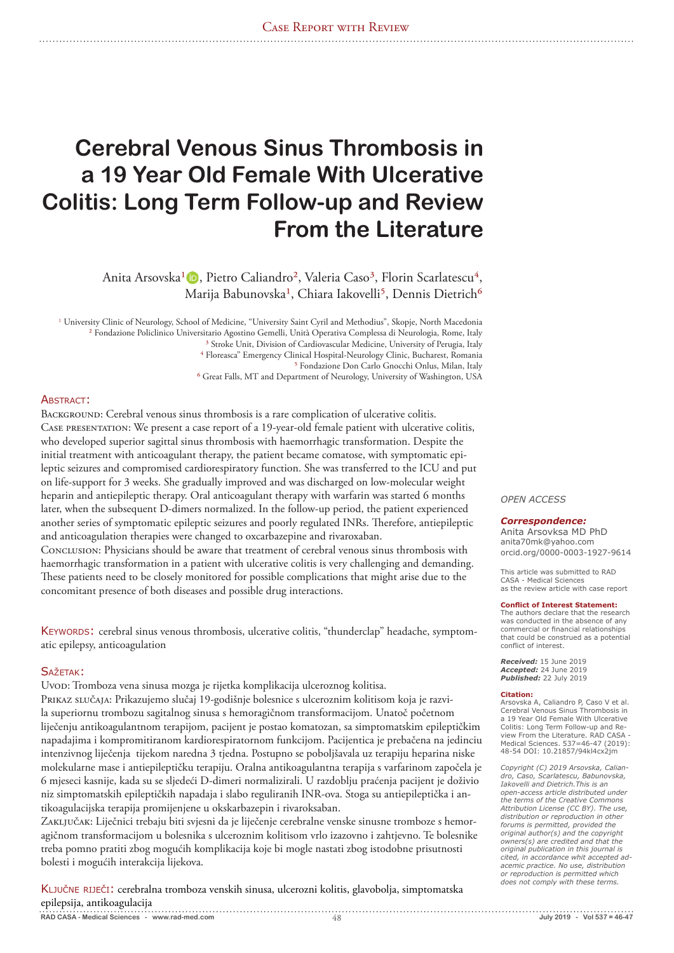# **Cerebral Venous Sinus Thrombosis in a 19 Year Old Female With Ulcerative Colitis: Long Term Follow-up and Review From the Literature**

Anita Arsovska<sup>1</sup> (D), Pietro Caliandro<sup>2</sup>, Valeria Caso<sup>3</sup>, Florin Scarlatescu<sup>4</sup>, Marija Babunovska<sup>1</sup>, Chiara Iakovelli<sup>5</sup>, Dennis Dietrich<sup>6</sup>

<sup>1</sup> University Clinic of Neurology, School of Medicine, "University Saint Cyril and Methodius", Skopje, North Macedonia ² Fondazione Policlinico Universitario Agostino Gemelli, Unità Operativa Complessa di Neurologia, Rome, Italy <sup>3</sup> Stroke Unit, Division of Cardiovascular Medicine, University of Perugia, Italy ⁴ Floreasca" Emergency Clinical Hospital-Neurology Clinic, Bucharest, Romania ⁵ Fondazione Don Carlo Gnocchi Onlus, Milan, Italy ⁶ Great Falls, MT and Department of Neurology, University of Washington, USA

# Abstract:

BACKGROUND: Cerebral venous sinus thrombosis is a rare complication of ulcerative colitis. Case presentation: We present a case report of a 19-year-old female patient with ulcerative colitis, who developed superior sagittal sinus thrombosis with haemorrhagic transformation. Despite the initial treatment with anticoagulant therapy, the patient became comatose, with symptomatic epileptic seizures and compromised cardiorespiratory function. She was transferred to the ICU and put on life-support for 3 weeks. She gradually improved and was discharged on low-molecular weight heparin and antiepileptic therapy. Oral anticoagulant therapy with warfarin was started 6 months later, when the subsequent D-dimers normalized. In the follow-up period, the patient experienced another series of symptomatic epileptic seizures and poorly regulated INRs. Therefore, antiepileptic and anticoagulation therapies were changed to oxcarbazepine and rivaroxaban.

Conclusion: Physicians should be aware that treatment of cerebral venous sinus thrombosis with haemorrhagic transformation in a patient with ulcerative colitis is very challenging and demanding. These patients need to be closely monitored for possible complications that might arise due to the concomitant presence of both diseases and possible drug interactions.

Keywords: cerebral sinus venous thrombosis, ulcerative colitis, "thunderclap" headache, symptomatic epilepsy, anticoagulation

# SAŽETAK:

Uvod: Tromboza vena sinusa mozga je rijetka komplikacija ulceroznog kolitisa.

Prikaz slučaja: Prikazujemo slučaj 19-godišnje bolesnice s ulceroznim kolitisom koja je razvila superiornu trombozu sagitalnog sinusa s hemoragičnom transformacijom. Unatoč početnom liječenju antikoagulantnom terapijom, pacijent je postao komatozan, sa simptomatskim epileptičkim napadajima i kompromitiranom kardiorespiratornom funkcijom. Pacijentica je prebačena na jedinciu intenzivnog liječenja tijekom naredna 3 tjedna. Postupno se poboljšavala uz terapiju heparina niske molekularne mase i antiepileptičku terapiju. Oralna antikoagulantna terapija s varfarinom započela je 6 mjeseci kasnije, kada su se sljedeći D-dimeri normalizirali. U razdoblju praćenja pacijent je doživio niz simptomatskih epileptičkih napadaja i slabo reguliranih INR-ova. Stoga su antiepileptička i antikoagulacijska terapija promijenjene u okskarbazepin i rivaroksaban.

Zaključak: Liječnici trebaju biti svjesni da je liječenje cerebralne venske sinusne tromboze s hemoragičnom transformacijom u bolesnika s ulceroznim kolitisom vrlo izazovno i zahtjevno. Te bolesnike treba pomno pratiti zbog mogućih komplikacija koje bi mogle nastati zbog istodobne prisutnosti bolesti i mogućih interakcija lijekova.

KLJUČNE RIJEČI: cerebralna tromboza venskih sinusa, ulcerozni kolitis, glavobolja, simptomatska epilepsija, antikoagulacija 

*OPEN ACCESS*

### *Correspondence:*

Anita Arsovksa MD PhD anita70mk@yahoo.com orcid.org/0000-0003-1927-9614

This article was submitted to RAD CASA - Medical Sciences as the review article with case report

#### **Conflict of Interest Statement:**

The authors declare that the research was conducted in the absence of any commercial or financial relationships that could be construed as a potential conflict of interest.

*Received:* 15 June 2019 *Accepted:* 24 June 2019 *Published:* 22 July 2019

#### **Citation:**

Arsovska A, Caliandro P, Caso V et al. Cerebral Venous Sinus Thrombosis in a 19 Year Old Female With Ulcerative Colitis: Long Term Follow-up and Review From the Literature. RAD CASA - Medical Sciences. 537=46-47 (2019): 48-54 DOI: 10.21857/94kl4cx2jm

*Copyright (C) 2019 Arsovska, Calian-dro, Caso, Scarlatescu, Babunovska, Iakovelli and Dietrich.This is an open-access article distributed under the terms of the Creative Commons Attribution License (CC BY). The use, distribution or reproduction in other forums is permitted, provided the original author(s) and the copyright owners(s) are credited and that the original publication in this journal is cited, in accordance whit accepted adacemic practice. No use, distribution or reproduction is permitted which does not comply with these terms.* 

**RAD CASA - Medical Sciences - www.rad-med.com** 48 **July 2019 - Vol 537 = 46-47**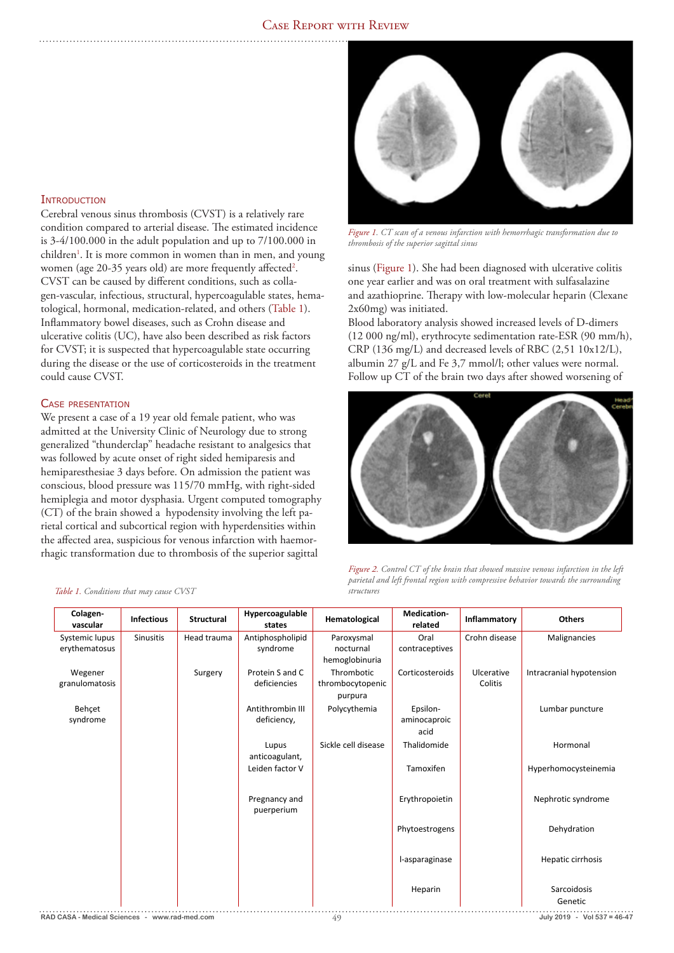# **INTRODUCTION**

Cerebral venous sinus thrombosis (CVST) is a relatively rare condition compared to arterial disease. The estimated incidence is 3-4/100.000 in the adult population and up to 7/100.000 in children<sup>1</sup>. It is more common in women than in men, and young women (age 20-35 years old) are more frequently affected<sup>2</sup>. CVST can be caused by different conditions, such as collagen-vascular, infectious, structural, hypercoagulable states, hematological, hormonal, medication-related, and others (Table 1). Inflammatory bowel diseases, such as Crohn disease and ulcerative colitis (UC), have also been described as risk factors for CVST; it is suspected that hypercoagulable state occurring during the disease or the use of corticosteroids in the treatment could cause CVST.

## Case presentation

We present a case of a 19 year old female patient, who was admitted at the University Clinic of Neurology due to strong generalized "thunderclap" headache resistant to analgesics that was followed by acute onset of right sided hemiparesis and hemiparesthesiae 3 days before. On admission the patient was conscious, blood pressure was 115/70 mmHg, with right-sided hemiplegia and motor dysphasia. Urgent computed tomography (CT) of the brain showed a hypodensity involving the left parietal cortical and subcortical region with hyperdensities within the affected area, suspicious for venous infarction with haemorrhagic transformation due to thrombosis of the superior sagittal

## *Table 1. Conditions that may cause CVST*



*Figure 1. CT scan of a venous infarction with hemorrhagic transformation due to thrombosis of the superior sagittal sinus*

sinus (Figure 1). She had been diagnosed with ulcerative colitis one year earlier and was on oral treatment with sulfasalazine and azathioprine. Therapy with low-molecular heparin (Clexane 2x60mg) was initiated.

Blood laboratory analysis showed increased levels of D-dimers (12 000 ng/ml), erythrocyte sedimentation rate-ESR (90 mm/h), CRP (136 mg/L) and decreased levels of RBC (2,51 10x12/L), albumin 27 g/L and Fe 3,7 mmol/l; other values were normal. Follow up CT of the brain two days after showed worsening of



*Figure 2. Control CT of the brain that showed massive venous infarction in the left parietal and left frontal region with compressive behavior towards the surrounding structure* 

| Antiphospholipid<br>Crohn disease<br>Systemic lupus<br><b>Sinusitis</b><br>Head trauma<br>Oral<br>Malignancies<br>Paroxysmal<br>erythematosus<br>syndrome<br>nocturnal<br>contraceptives<br>hemoglobinuria<br>Protein S and C<br>Thrombotic<br>Intracranial hypotension<br>Wegener<br>Corticosteroids<br>Ulcerative<br>Surgery<br>granulomatosis<br>deficiencies<br>thrombocytopenic<br>Colitis<br>purpura<br>Behçet<br>Antithrombin III<br>Polycythemia<br>Lumbar puncture<br>Epsilon-<br>syndrome<br>deficiency,<br>aminocaproic<br>acid<br>Sickle cell disease<br>Thalidomide<br>Hormonal<br>Lupus<br>anticoagulant,<br>Leiden factor V<br>Tamoxifen<br>Hyperhomocysteinemia<br>Erythropoietin<br>Nephrotic syndrome<br>Pregnancy and<br>puerperium<br>Phytoestrogens<br>Dehydration<br>Hepatic cirrhosis<br>l-asparaginase<br>Sarcoidosis<br>Heparin<br>Genetic | Colagen-<br>vascular | <b>Infectious</b> | <b>Structural</b> | Hypercoagulable<br>states | Hematological | Medication-<br>related | Inflammatory | <b>Others</b> |
|---------------------------------------------------------------------------------------------------------------------------------------------------------------------------------------------------------------------------------------------------------------------------------------------------------------------------------------------------------------------------------------------------------------------------------------------------------------------------------------------------------------------------------------------------------------------------------------------------------------------------------------------------------------------------------------------------------------------------------------------------------------------------------------------------------------------------------------------------------------------|----------------------|-------------------|-------------------|---------------------------|---------------|------------------------|--------------|---------------|
|                                                                                                                                                                                                                                                                                                                                                                                                                                                                                                                                                                                                                                                                                                                                                                                                                                                                     |                      |                   |                   |                           |               |                        |              |               |
|                                                                                                                                                                                                                                                                                                                                                                                                                                                                                                                                                                                                                                                                                                                                                                                                                                                                     |                      |                   |                   |                           |               |                        |              |               |
|                                                                                                                                                                                                                                                                                                                                                                                                                                                                                                                                                                                                                                                                                                                                                                                                                                                                     |                      |                   |                   |                           |               |                        |              |               |
|                                                                                                                                                                                                                                                                                                                                                                                                                                                                                                                                                                                                                                                                                                                                                                                                                                                                     |                      |                   |                   |                           |               |                        |              |               |
|                                                                                                                                                                                                                                                                                                                                                                                                                                                                                                                                                                                                                                                                                                                                                                                                                                                                     |                      |                   |                   |                           |               |                        |              |               |
|                                                                                                                                                                                                                                                                                                                                                                                                                                                                                                                                                                                                                                                                                                                                                                                                                                                                     |                      |                   |                   |                           |               |                        |              |               |
|                                                                                                                                                                                                                                                                                                                                                                                                                                                                                                                                                                                                                                                                                                                                                                                                                                                                     |                      |                   |                   |                           |               |                        |              |               |
|                                                                                                                                                                                                                                                                                                                                                                                                                                                                                                                                                                                                                                                                                                                                                                                                                                                                     |                      |                   |                   |                           |               |                        |              |               |
|                                                                                                                                                                                                                                                                                                                                                                                                                                                                                                                                                                                                                                                                                                                                                                                                                                                                     |                      |                   |                   |                           |               |                        |              |               |
|                                                                                                                                                                                                                                                                                                                                                                                                                                                                                                                                                                                                                                                                                                                                                                                                                                                                     |                      |                   |                   |                           |               |                        |              |               |
|                                                                                                                                                                                                                                                                                                                                                                                                                                                                                                                                                                                                                                                                                                                                                                                                                                                                     |                      |                   |                   |                           |               |                        |              |               |
|                                                                                                                                                                                                                                                                                                                                                                                                                                                                                                                                                                                                                                                                                                                                                                                                                                                                     |                      |                   |                   |                           |               |                        |              |               |
|                                                                                                                                                                                                                                                                                                                                                                                                                                                                                                                                                                                                                                                                                                                                                                                                                                                                     |                      |                   |                   |                           |               |                        |              |               |
|                                                                                                                                                                                                                                                                                                                                                                                                                                                                                                                                                                                                                                                                                                                                                                                                                                                                     |                      |                   |                   |                           |               |                        |              |               |
|                                                                                                                                                                                                                                                                                                                                                                                                                                                                                                                                                                                                                                                                                                                                                                                                                                                                     |                      |                   |                   |                           |               |                        |              |               |
|                                                                                                                                                                                                                                                                                                                                                                                                                                                                                                                                                                                                                                                                                                                                                                                                                                                                     |                      |                   |                   |                           |               |                        |              |               |
|                                                                                                                                                                                                                                                                                                                                                                                                                                                                                                                                                                                                                                                                                                                                                                                                                                                                     |                      |                   |                   |                           |               |                        |              |               |
|                                                                                                                                                                                                                                                                                                                                                                                                                                                                                                                                                                                                                                                                                                                                                                                                                                                                     |                      |                   |                   |                           |               |                        |              |               |
|                                                                                                                                                                                                                                                                                                                                                                                                                                                                                                                                                                                                                                                                                                                                                                                                                                                                     |                      |                   |                   |                           |               |                        |              |               |
|                                                                                                                                                                                                                                                                                                                                                                                                                                                                                                                                                                                                                                                                                                                                                                                                                                                                     |                      |                   |                   |                           |               |                        |              |               |
|                                                                                                                                                                                                                                                                                                                                                                                                                                                                                                                                                                                                                                                                                                                                                                                                                                                                     |                      |                   |                   |                           |               |                        |              |               |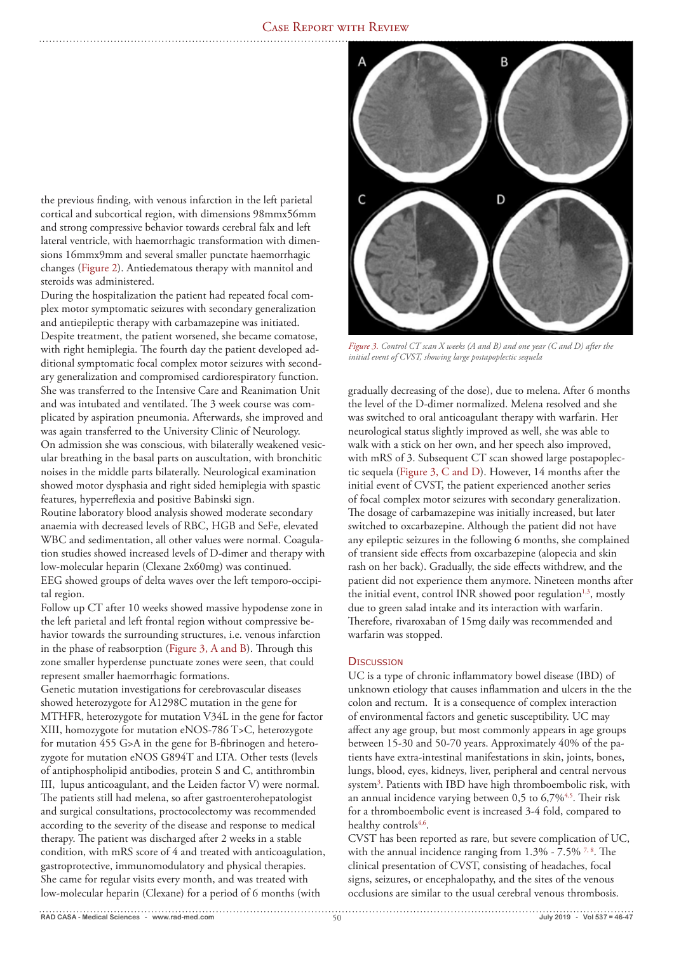the previous finding, with venous infarction in the left parietal cortical and subcortical region, with dimensions 98mmx56mm and strong compressive behavior towards cerebral falx and left lateral ventricle, with haemorrhagic transformation with dimensions 16mmx9mm and several smaller punctate haemorrhagic changes (Figure 2). Antiedematous therapy with mannitol and steroids was administered.

During the hospitalization the patient had repeated focal complex motor symptomatic seizures with secondary generalization and antiepileptic therapy with carbamazepine was initiated. Despite treatment, the patient worsened, she became comatose, with right hemiplegia. The fourth day the patient developed additional symptomatic focal complex motor seizures with secondary generalization and compromised cardiorespiratory function. She was transferred to the Intensive Care and Reanimation Unit and was intubated and ventilated. The 3 week course was complicated by aspiration pneumonia. Afterwards, she improved and was again transferred to the University Clinic of Neurology. On admission she was conscious, with bilaterally weakened vesicular breathing in the basal parts on auscultation, with bronchitic noises in the middle parts bilaterally. Neurological examination showed motor dysphasia and right sided hemiplegia with spastic features, hyperreflexia and positive Babinski sign.

Routine laboratory blood analysis showed moderate secondary anaemia with decreased levels of RBC, HGB and SeFe, elevated WBC and sedimentation, all other values were normal. Coagulation studies showed increased levels of D-dimer and therapy with low-molecular heparin (Clexane 2x60mg) was continued. EEG showed groups of delta waves over the left temporo-occipital region.

Follow up CT after 10 weeks showed massive hypodense zone in the left parietal and left frontal region without compressive behavior towards the surrounding structures, i.e. venous infarction in the phase of reabsorption (Figure 3, A and B). Through this zone smaller hyperdense punctuate zones were seen, that could represent smaller haemorrhagic formations.

Genetic mutation investigations for cerebrovascular diseases showed heterozygote for A1298C mutation in the gene for MTHFR, heterozygote for mutation V34L in the gene for factor XIII, homozygote for mutation eNOS-786 T>C, heterozygote for mutation 455 G>A in the gene for B-fibrinogen and heterozygote for mutation eNOS G894T and LTA. Other tests (levels of antiphospholipid antibodies, protein S and C, antithrombin III, lupus anticoagulant, and the Leiden factor V) were normal. The patients still had melena, so after gastroenterohepatologist and surgical consultations, proctocolectomy was recommended according to the severity of the disease and response to medical therapy. The patient was discharged after 2 weeks in a stable condition, with mRS score of 4 and treated with anticoagulation, gastroprotective, immunomodulatory and physical therapies. She came for regular visits every month, and was treated with low-molecular heparin (Clexane) for a period of 6 months (with



*Figure 3. Control CT scan X weeks (A and B) and one year (C and D) after the initial event of CVST, showing large postapoplectic sequela*

gradually decreasing of the dose), due to melena. After 6 months the level of the D-dimer normalized. Melena resolved and she was switched to oral anticoagulant therapy with warfarin. Her neurological status slightly improved as well, she was able to walk with a stick on her own, and her speech also improved, with mRS of 3. Subsequent CT scan showed large postapoplectic sequela (Figure 3, C and D). However, 14 months after the initial event of CVST, the patient experienced another series of focal complex motor seizures with secondary generalization. The dosage of carbamazepine was initially increased, but later switched to oxcarbazepine. Although the patient did not have any epileptic seizures in the following 6 months, she complained of transient side effects from oxcarbazepine (alopecia and skin rash on her back). Gradually, the side effects withdrew, and the patient did not experience them anymore. Nineteen months after the initial event, control INR showed poor regulation<sup>1,3</sup>, mostly due to green salad intake and its interaction with warfarin. Therefore, rivaroxaban of 15mg daily was recommended and warfarin was stopped.

# **DISCUSSION**

UC is a type of chronic inflammatory bowel disease (IBD) of unknown etiology that causes inflammation and ulcers in the the colon and rectum. It is a consequence of complex interaction of environmental factors and genetic susceptibility. UC may affect any age group, but most commonly appears in age groups between 15-30 and 50-70 years. Approximately 40% of the patients have extra-intestinal manifestations in skin, joints, bones, lungs, blood, eyes, kidneys, liver, peripheral and central nervous system3 . Patients with IBD have high thromboembolic risk, with an annual incidence varying between  $0.5$  to  $6,7\%$ <sup>4,5</sup>. Their risk for a thromboembolic event is increased 3-4 fold, compared to healthy controls<sup>4,6</sup>.

CVST has been reported as rare, but severe complication of UC, with the annual incidence ranging from  $1.3\%$  -  $7.5\%$  <sup>7,8</sup>. The clinical presentation of CVST, consisting of headaches, focal signs, seizures, or encephalopathy, and the sites of the venous occlusions are similar to the usual cerebral venous thrombosis.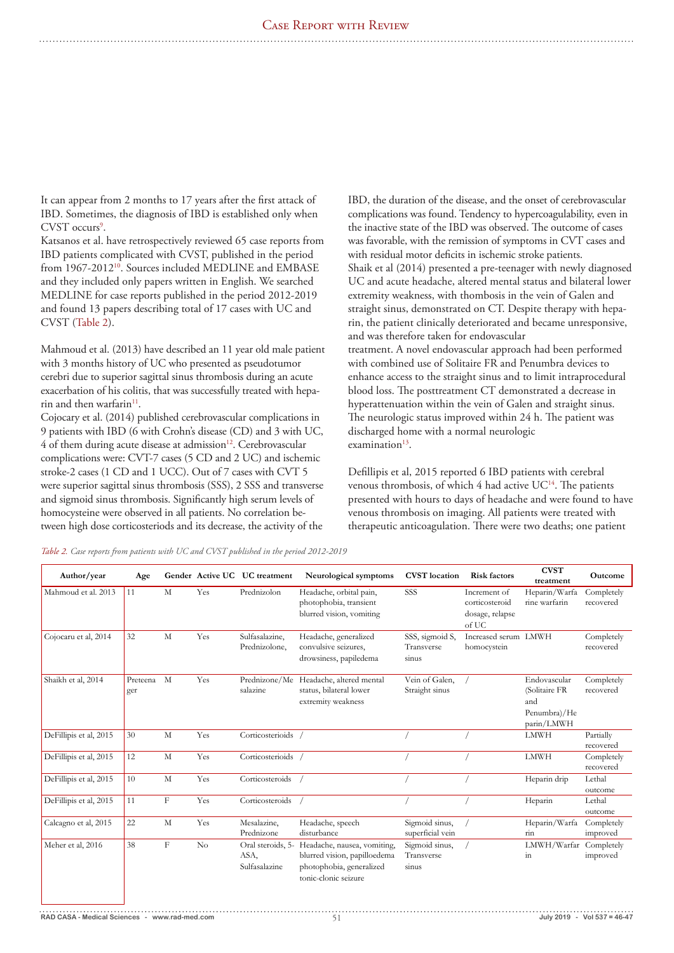It can appear from 2 months to 17 years after the first attack of IBD. Sometimes, the diagnosis of IBD is established only when CVST occurs<sup>9</sup>.

Katsanos et al. have retrospectively reviewed 65 case reports from IBD patients complicated with CVST, published in the period from 1967-2012<sup>10</sup>. Sources included MEDLINE and EMBASE and they included only papers written in English. We searched MEDLINE for case reports published in the period 2012-2019 and found 13 papers describing total of 17 cases with UC and CVST (Table 2).

Mahmoud et al. (2013) have described an 11 year old male patient with 3 months history of UC who presented as pseudotumor cerebri due to superior sagittal sinus thrombosis during an acute exacerbation of his colitis, that was successfully treated with heparin and then warfarin<sup>11</sup>.

Cojocary et al. (2014) published cerebrovascular complications in 9 patients with IBD (6 with Crohn's disease (CD) and 3 with UC, 4 of them during acute disease at admission<sup>12</sup>. Cerebrovascular complications were: CVT-7 cases (5 CD and 2 UC) and ischemic stroke-2 cases (1 CD and 1 UCC). Out of 7 cases with CVT 5 were superior sagittal sinus thrombosis (SSS), 2 SSS and transverse and sigmoid sinus thrombosis. Significantly high serum levels of homocysteine were observed in all patients. No correlation between high dose corticosteriods and its decrease, the activity of the

IBD, the duration of the disease, and the onset of cerebrovascular complications was found. Tendency to hypercoagulability, even in the inactive state of the IBD was observed. The outcome of cases was favorable, with the remission of symptoms in CVT cases and with residual motor deficits in ischemic stroke patients. Shaik et al (2014) presented a pre-teenager with newly diagnosed UC and acute headache, altered mental status and bilateral lower extremity weakness, with thombosis in the vein of Galen and straight sinus, demonstrated on CT. Despite therapy with heparin, the patient clinically deteriorated and became unresponsive, and was therefore taken for endovascular treatment. A novel endovascular approach had been performed with combined use of Solitaire FR and Penumbra devices to enhance access to the straight sinus and to limit intraprocedural blood loss. The posttreatment CT demonstrated a decrease in hyperattenuation within the vein of Galen and straight sinus. The neurologic status improved within 24 h. The patient was discharged home with a normal neurologic examination $13$ .

Defillipis et al, 2015 reported 6 IBD patients with cerebral venous thrombosis, of which 4 had active UC<sup>14</sup>. The patients presented with hours to days of headache and were found to have venous thrombosis on imaging. All patients were treated with therapeutic anticoagulation. There were two deaths; one patient

*Table 2. Case reports from patients with UC and CVST published in the period 2012-2019*

| Author/year            | Age             |             |     | Gender Active UC UC treatment              | Neurological symptoms                                                                                           | <b>CVST</b> location                   | <b>Risk factors</b>                                        | <b>CVST</b><br>treatment                                           | Outcome                 |
|------------------------|-----------------|-------------|-----|--------------------------------------------|-----------------------------------------------------------------------------------------------------------------|----------------------------------------|------------------------------------------------------------|--------------------------------------------------------------------|-------------------------|
| Mahmoud et al. 2013    | 11              | M           | Yes | Prednizolon                                | Headache, orbital pain,<br>photophobia, transient<br>blurred vision, vomiting                                   | SSS                                    | Increment of<br>corticosteroid<br>dosage, relapse<br>of UC | Heparin/Warfa<br>rine warfarin                                     | Completely<br>recovered |
| Cojocaru et al, 2014   | 32              | M           | Yes | Sulfasalazine,<br>Prednizolone,            | Headache, generalized<br>convulsive seizures,<br>drowsiness, papiledema                                         | SSS, sigmoid S,<br>Transverse<br>sinus | Increased serum LMWH<br>homocystein                        |                                                                    | Completely<br>recovered |
| Shaikh et al, 2014     | Preteena<br>ger | M           | Yes | Prednizone/Me<br>salazine                  | Headache, altered mental<br>status, bilateral lower<br>extremity weakness                                       | Vein of Galen,<br>Straight sinus       |                                                            | Endovascular<br>(Solitaire FR<br>and<br>Penumbra)/He<br>parin/LMWH | Completely<br>recovered |
| DeFillipis et al, 2015 | 30              | M           | Yes | Corticosterioids                           |                                                                                                                 |                                        |                                                            | <b>LMWH</b>                                                        | Partially<br>recovered  |
| DeFillipis et al, 2015 | 12              | M           | Yes | Corticosterioids                           |                                                                                                                 |                                        |                                                            | <b>LMWH</b>                                                        | Completely<br>recovered |
| DeFillipis et al, 2015 | 10              | $\mathbf M$ | Yes | Corticosteroids                            |                                                                                                                 |                                        |                                                            | Heparin drip                                                       | Lethal<br>outcome       |
| DeFillipis et al, 2015 | 11              | F           | Yes | Corticosteroids                            |                                                                                                                 |                                        |                                                            | Heparin                                                            | Lethal<br>outcome       |
| Calcagno et al, 2015   | 22              | M           | Yes | Mesalazine,<br>Prednizone                  | Headache, speech<br>disturbance                                                                                 | Sigmoid sinus,<br>superficial vein     |                                                            | Heparin/Warfa<br>rin                                               | Completely<br>improved  |
| Meher et al, 2016      | 38              | F           | No  | Oral steroids, 5-<br>ASA,<br>Sulfasalazine | Headache, nausea, vomiting,<br>blurred vision, papilloedema<br>photophobia, generalized<br>tonic-clonic seizure | Sigmoid sinus,<br>Transverse<br>sinus  |                                                            | LMWH/Warfar<br>in                                                  | Completely<br>improved  |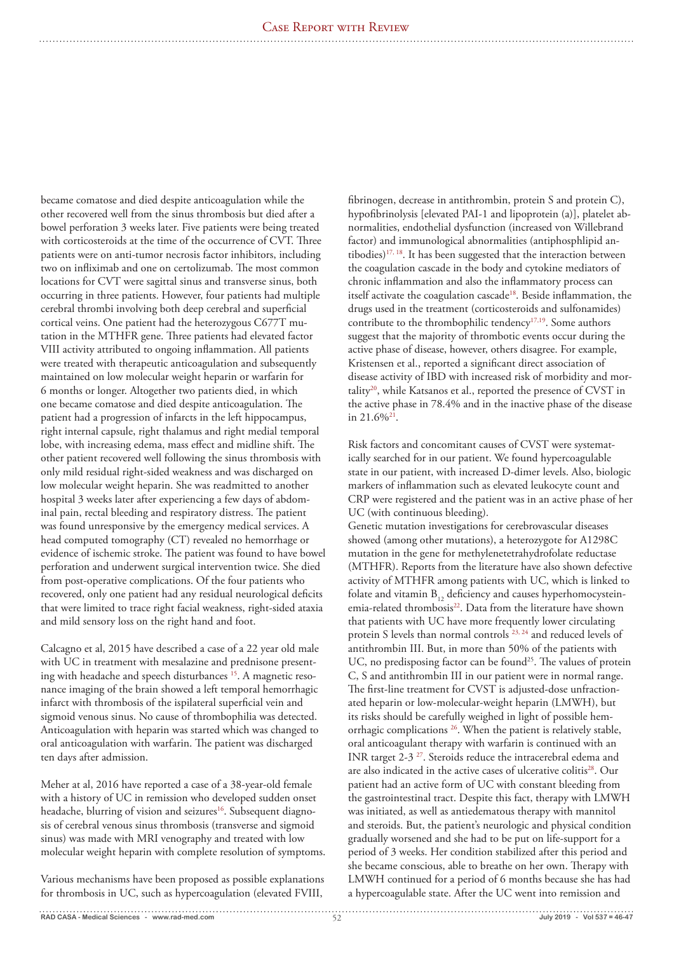became comatose and died despite anticoagulation while the other recovered well from the sinus thrombosis but died after a bowel perforation 3 weeks later. Five patients were being treated with corticosteroids at the time of the occurrence of CVT. Three patients were on anti-tumor necrosis factor inhibitors, including two on infliximab and one on certolizumab. The most common locations for CVT were sagittal sinus and transverse sinus, both occurring in three patients. However, four patients had multiple cerebral thrombi involving both deep cerebral and superficial cortical veins. One patient had the heterozygous C677T mutation in the MTHFR gene. Three patients had elevated factor VIII activity attributed to ongoing inflammation. All patients were treated with therapeutic anticoagulation and subsequently maintained on low molecular weight heparin or warfarin for 6 months or longer. Altogether two patients died, in which one became comatose and died despite anticoagulation. The patient had a progression of infarcts in the left hippocampus, right internal capsule, right thalamus and right medial temporal lobe, with increasing edema, mass effect and midline shift. The other patient recovered well following the sinus thrombosis with only mild residual right-sided weakness and was discharged on low molecular weight heparin. She was readmitted to another hospital 3 weeks later after experiencing a few days of abdominal pain, rectal bleeding and respiratory distress. The patient was found unresponsive by the emergency medical services. A head computed tomography (CT) revealed no hemorrhage or evidence of ischemic stroke. The patient was found to have bowel perforation and underwent surgical intervention twice. She died from post-operative complications. Of the four patients who recovered, only one patient had any residual neurological deficits that were limited to trace right facial weakness, right-sided ataxia and mild sensory loss on the right hand and foot.

Calcagno et al, 2015 have described a case of a 22 year old male with UC in treatment with mesalazine and prednisone presenting with headache and speech disturbances 15. A magnetic resonance imaging of the brain showed a left temporal hemorrhagic infarct with thrombosis of the ispilateral superficial vein and sigmoid venous sinus. No cause of thrombophilia was detected. Anticoagulation with heparin was started which was changed to oral anticoagulation with warfarin. The patient was discharged ten days after admission.

Meher at al, 2016 have reported a case of a 38-year-old female with a history of UC in remission who developed sudden onset headache, blurring of vision and seizures<sup>16</sup>. Subsequent diagnosis of cerebral venous sinus thrombosis (transverse and sigmoid sinus) was made with MRI venography and treated with low molecular weight heparin with complete resolution of symptoms.

Various mechanisms have been proposed as possible explanations for thrombosis in UC, such as hypercoagulation (elevated FVIII,

fibrinogen, decrease in antithrombin, protein S and protein C), hypofibrinolysis [elevated PAI-1 and lipoprotein (a)], platelet abnormalities, endothelial dysfunction (increased von Willebrand factor) and immunological abnormalities (antiphosphlipid antibodies)17, 18. It has been suggested that the interaction between the coagulation cascade in the body and cytokine mediators of chronic inflammation and also the inflammatory process can itself activate the coagulation cascade<sup>18</sup>. Beside inflammation, the drugs used in the treatment (corticosteroids and sulfonamides) contribute to the thrombophilic tendency<sup>17,19</sup>. Some authors suggest that the majority of thrombotic events occur during the active phase of disease, however, others disagree. For example, Kristensen et al., reported a significant direct association of disease activity of IBD with increased risk of morbidity and mortality20, while Katsanos et al., reported the presence of CVST in the active phase in 78.4% and in the inactive phase of the disease in 21.6%<sup>21</sup>

Risk factors and concomitant causes of CVST were systematically searched for in our patient. We found hypercoagulable state in our patient, with increased D-dimer levels. Also, biologic markers of inflammation such as elevated leukocyte count and CRP were registered and the patient was in an active phase of her UC (with continuous bleeding).

Genetic mutation investigations for cerebrovascular diseases showed (among other mutations), a heterozygote for A1298C mutation in the gene for methylenetetrahydrofolate reductase (MTHFR). Reports from the literature have also shown defective activity of MTHFR among patients with UC, which is linked to folate and vitamin  $B_{12}$  deficiency and causes hyperhomocysteinemia-related thrombosis<sup>22</sup>. Data from the literature have shown that patients with UC have more frequently lower circulating protein S levels than normal controls 23, 24 and reduced levels of antithrombin III. But, in more than 50% of the patients with UC, no predisposing factor can be found<sup>25</sup>. The values of protein C, S and antithrombin III in our patient were in normal range. The first-line treatment for CVST is adjusted-dose unfractionated heparin or low-molecular-weight heparin (LMWH), but its risks should be carefully weighed in light of possible hemorrhagic complications 26. When the patient is relatively stable, oral anticoagulant therapy with warfarin is continued with an INR target 2-3 27. Steroids reduce the intracerebral edema and are also indicated in the active cases of ulcerative colitis<sup>28</sup>. Our patient had an active form of UC with constant bleeding from the gastrointestinal tract. Despite this fact, therapy with LMWH was initiated, as well as antiedematous therapy with mannitol and steroids. But, the patient's neurologic and physical condition gradually worsened and she had to be put on life-support for a period of 3 weeks. Her condition stabilized after this period and she became conscious, able to breathe on her own. Therapy with LMWH continued for a period of 6 months because she has had a hypercoagulable state. After the UC went into remission and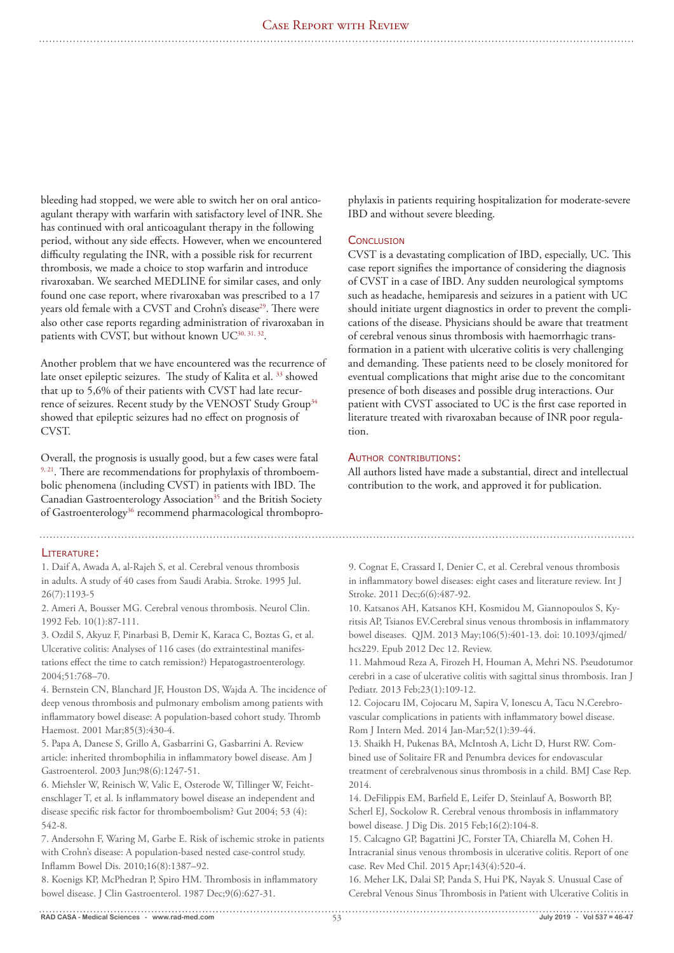bleeding had stopped, we were able to switch her on oral anticoagulant therapy with warfarin with satisfactory level of INR. She has continued with oral anticoagulant therapy in the following period, without any side effects. However, when we encountered difficulty regulating the INR, with a possible risk for recurrent thrombosis, we made a choice to stop warfarin and introduce rivaroxaban. We searched MEDLINE for similar cases, and only found one case report, where rivaroxaban was prescribed to a 17 years old female with a CVST and Crohn's disease<sup>29</sup>. There were also other case reports regarding administration of rivaroxaban in patients with CVST, but without known UC<sup>30, 31, 32</sup>.

Another problem that we have encountered was the recurrence of late onset epileptic seizures. The study of Kalita et al. 33 showed that up to 5,6% of their patients with CVST had late recurrence of seizures. Recent study by the VENOST Study Group<sup>34</sup> showed that epileptic seizures had no effect on prognosis of CVST.

Overall, the prognosis is usually good, but a few cases were fatal 9, 21. There are recommendations for prophylaxis of thromboembolic phenomena (including CVST) in patients with IBD. The Canadian Gastroenterology Association<sup>35</sup> and the British Society of Gastroenterology<sup>36</sup> recommend pharmacological thrombopro-

### Literature:

1. Daif A, Awada A, al-Rajeh S, et al. Cerebral venous thrombosis in adults. A study of 40 cases from Saudi Arabia. Stroke. 1995 Jul.  $26(7) \cdot 1193 - 5$ 

2. Ameri A, Bousser MG. Cerebral venous thrombosis. Neurol Clin. 1992 Feb. 10(1):87-111.

3. Ozdil S, Akyuz F, Pinarbasi B, Demir K, Karaca C, Boztas G, et al. Ulcerative colitis: Analyses of 116 cases (do extraintestinal manifestations effect the time to catch remission?) Hepatogastroenterology. 2004;51:768–70.

4. Bernstein CN, Blanchard JF, Houston DS, Wajda A. The incidence of deep venous thrombosis and pulmonary embolism among patients with inflammatory bowel disease: A population-based cohort study. Thromb Haemost. 2001 Mar;85(3):430-4.

5. Papa A, Danese S, Grillo A, Gasbarrini G, Gasbarrini A. Review article: inherited thrombophilia in inflammatory bowel disease. Am J Gastroenterol. 2003 Jun;98(6):1247-51.

6. Miehsler W, Reinisch W, Valic E, Osterode W, Tillinger W, Feichtenschlager T, et al. Is inflammatory bowel disease an independent and disease specific risk factor for thromboembolism? Gut 2004; 53 (4): 542-8.

7. Andersohn F, Waring M, Garbe E. Risk of ischemic stroke in patients with Crohn's disease: A population-based nested case-control study. Inflamm Bowel Dis. 2010;16(8):1387–92.

8. Koenigs KP, McPhedran P, Spiro HM. Thrombosis in inflammatory bowel disease. J Clin Gastroenterol. 1987 Dec;9(6):627-31.

phylaxis in patients requiring hospitalization for moderate-severe IBD and without severe bleeding.

## **CONCLUSION**

CVST is a devastating complication of IBD, especially, UC. This case report signifies the importance of considering the diagnosis of CVST in a case of IBD. Any sudden neurological symptoms such as headache, hemiparesis and seizures in a patient with UC should initiate urgent diagnostics in order to prevent the complications of the disease. Physicians should be aware that treatment of cerebral venous sinus thrombosis with haemorrhagic transformation in a patient with ulcerative colitis is very challenging and demanding. These patients need to be closely monitored for eventual complications that might arise due to the concomitant presence of both diseases and possible drug interactions. Our patient with CVST associated to UC is the first case reported in literature treated with rivaroxaban because of INR poor regulation.

# AUTHOR CONTRIBUTIONS:

All authors listed have made a substantial, direct and intellectual contribution to the work, and approved it for publication.

9. Cognat E, Crassard I, Denier C, et al. Cerebral venous thrombosis in inflammatory bowel diseases: eight cases and literature review. Int J Stroke. 2011 Dec;6(6):487-92.

10. Katsanos AH, Katsanos KH, Kosmidou M, Giannopoulos S, Kyritsis AP, Tsianos EV.Cerebral sinus venous thrombosis in inflammatory bowel diseases. QJM. 2013 May;106(5):401-13. doi: 10.1093/qjmed/ hcs229. Epub 2012 Dec 12. Review.

11. Mahmoud Reza A, Firozeh H, Houman A, Mehri NS. Pseudotumor cerebri in a case of ulcerative colitis with sagittal sinus thrombosis. Iran J Pediatr. 2013 Feb;23(1):109-12.

12. Cojocaru IM, Cojocaru M, Sapira V, Ionescu A, Tacu N.Cerebrovascular complications in patients with inflammatory bowel disease. Rom J Intern Med. 2014 Jan-Mar;52(1):39-44.

13. Shaikh H, Pukenas BA, McIntosh A, Licht D, Hurst RW. Combined use of Solitaire FR and Penumbra devices for endovascular treatment of cerebralvenous sinus thrombosis in a child. BMJ Case Rep. 2014.

14. DeFilippis EM, Barfield E, Leifer D, Steinlauf A, Bosworth BP, Scherl EJ, Sockolow R. Cerebral venous thrombosis in inflammatory bowel disease. J Dig Dis. 2015 Feb;16(2):104-8.

15. Calcagno GP, Bagattini JC, Forster TA, Chiarella M, Cohen H. Intracranial sinus venous thrombosis in ulcerative colitis. Report of one case. Rev Med Chil. 2015 Apr;143(4):520-4.

16. Meher LK, Dalai SP, Panda S, Hui PK, Nayak S. Unusual Case of Cerebral Venous Sinus Thrombosis in Patient with Ulcerative Colitis in